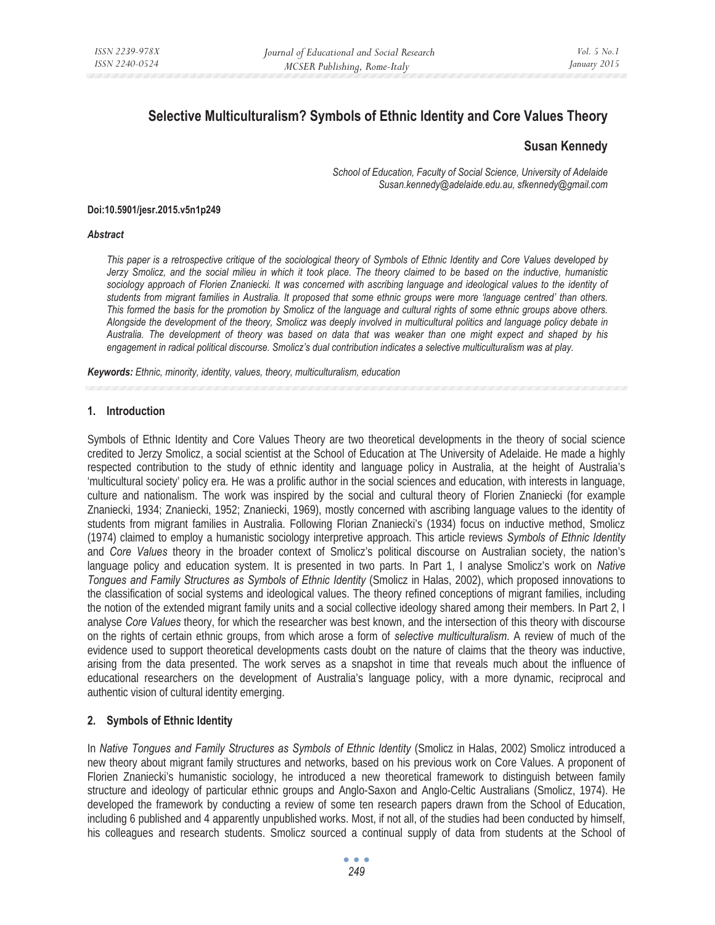# **Selective Multiculturalism? Symbols of Ethnic Identity and Core Values Theory**

### **Susan Kennedy**

*School of Education, Faculty of Social Science, University of Adelaide Susan.kennedy@adelaide.edu.au, sfkennedy@gmail.com* 

#### **Doi:10.5901/jesr.2015.v5n1p249**

#### *Abstract*

*This paper is a retrospective critique of the sociological theory of Symbols of Ethnic Identity and Core Values developed by*  Jerzy Smolicz, and the social milieu in which it took place. The theory claimed to be based on the inductive, humanistic sociology approach of Florien Znaniecki. It was concerned with ascribing language and ideological values to the identity of *students from migrant families in Australia. It proposed that some ethnic groups were more 'language centred' than others. This formed the basis for the promotion by Smolicz of the language and cultural rights of some ethnic groups above others. Alongside the development of the theory, Smolicz was deeply involved in multicultural politics and language policy debate in Australia. The development of theory was based on data that was weaker than one might expect and shaped by his engagement in radical political discourse. Smolicz's dual contribution indicates a selective multiculturalism was at play.* 

*Keywords: Ethnic, minority, identity, values, theory, multiculturalism, education*

#### **1. Introduction**

Symbols of Ethnic Identity and Core Values Theory are two theoretical developments in the theory of social science credited to Jerzy Smolicz, a social scientist at the School of Education at The University of Adelaide. He made a highly respected contribution to the study of ethnic identity and language policy in Australia, at the height of Australia's 'multicultural society' policy era. He was a prolific author in the social sciences and education, with interests in language, culture and nationalism. The work was inspired by the social and cultural theory of Florien Znaniecki (for example Znaniecki, 1934; Znaniecki, 1952; Znaniecki, 1969), mostly concerned with ascribing language values to the identity of students from migrant families in Australia. Following Florian Znaniecki's (1934) focus on inductive method, Smolicz (1974) claimed to employ a humanistic sociology interpretive approach. This article reviews *Symbols of Ethnic Identity* and *Core Values* theory in the broader context of Smolicz's political discourse on Australian society, the nation's language policy and education system. It is presented in two parts. In Part 1, I analyse Smolicz's work on *Native Tongues and Family Structures as Symbols of Ethnic Identity* (Smolicz in Halas, 2002), which proposed innovations to the classification of social systems and ideological values. The theory refined conceptions of migrant families, including the notion of the extended migrant family units and a social collective ideology shared among their members. In Part 2, I analyse *Core Values* theory, for which the researcher was best known, and the intersection of this theory with discourse on the rights of certain ethnic groups, from which arose a form of *selective multiculturalism*. A review of much of the evidence used to support theoretical developments casts doubt on the nature of claims that the theory was inductive, arising from the data presented. The work serves as a snapshot in time that reveals much about the influence of educational researchers on the development of Australia's language policy, with a more dynamic, reciprocal and authentic vision of cultural identity emerging.

#### **2. Symbols of Ethnic Identity**

In *Native Tongues and Family Structures as Symbols of Ethnic Identity* (Smolicz in Halas, 2002) Smolicz introduced a new theory about migrant family structures and networks, based on his previous work on Core Values. A proponent of Florien Znaniecki's humanistic sociology, he introduced a new theoretical framework to distinguish between family structure and ideology of particular ethnic groups and Anglo-Saxon and Anglo-Celtic Australians (Smolicz, 1974). He developed the framework by conducting a review of some ten research papers drawn from the School of Education, including 6 published and 4 apparently unpublished works. Most, if not all, of the studies had been conducted by himself, his colleagues and research students. Smolicz sourced a continual supply of data from students at the School of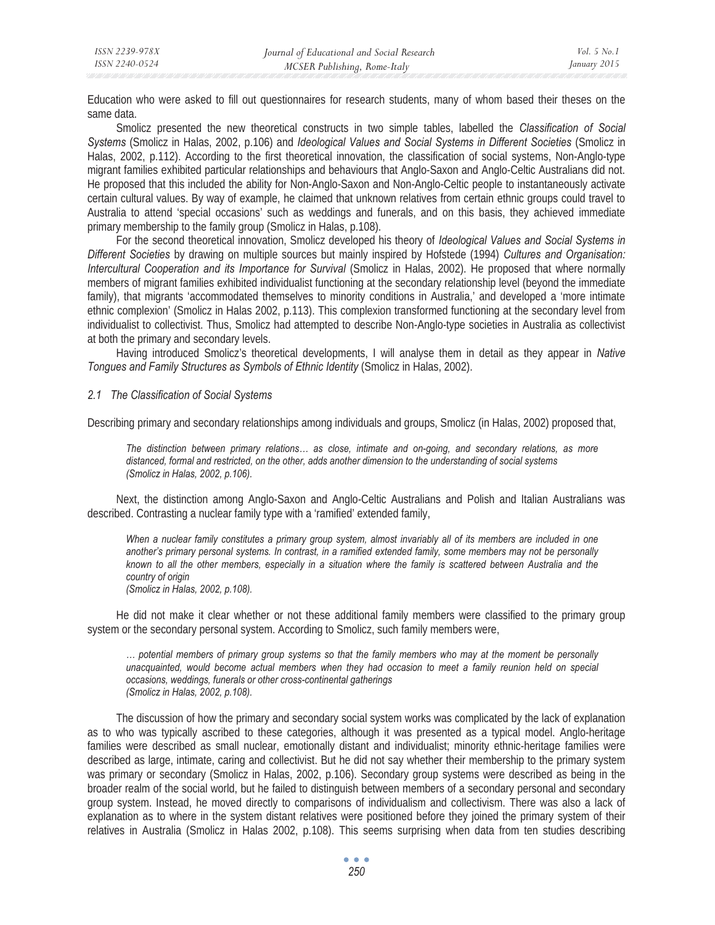Education who were asked to fill out questionnaires for research students, many of whom based their theses on the same data.

Smolicz presented the new theoretical constructs in two simple tables, labelled the *Classification of Social Systems* (Smolicz in Halas, 2002, p.106) and *Ideological Values and Social Systems in Different Societies* (Smolicz in Halas, 2002, p.112). According to the first theoretical innovation, the classification of social systems, Non-Anglo-type migrant families exhibited particular relationships and behaviours that Anglo-Saxon and Anglo-Celtic Australians did not. He proposed that this included the ability for Non-Anglo-Saxon and Non-Anglo-Celtic people to instantaneously activate certain cultural values. By way of example, he claimed that unknown relatives from certain ethnic groups could travel to Australia to attend 'special occasions' such as weddings and funerals, and on this basis, they achieved immediate primary membership to the family group (Smolicz in Halas, p.108).

For the second theoretical innovation, Smolicz developed his theory of *Ideological Values and Social Systems in Different Societies* by drawing on multiple sources but mainly inspired by Hofstede (1994) *Cultures and Organisation: Intercultural Cooperation and its Importance for Survival* (Smolicz in Halas, 2002). He proposed that where normally members of migrant families exhibited individualist functioning at the secondary relationship level (beyond the immediate family), that migrants 'accommodated themselves to minority conditions in Australia,' and developed a 'more intimate ethnic complexion' (Smolicz in Halas 2002, p.113). This complexion transformed functioning at the secondary level from individualist to collectivist. Thus, Smolicz had attempted to describe Non-Anglo-type societies in Australia as collectivist at both the primary and secondary levels.

Having introduced Smolicz's theoretical developments, I will analyse them in detail as they appear in *Native Tongues and Family Structures as Symbols of Ethnic Identity* (Smolicz in Halas, 2002).

#### *2.1 The Classification of Social Systems*

Describing primary and secondary relationships among individuals and groups, Smolicz (in Halas, 2002) proposed that,

*The distinction between primary relations… as close, intimate and on-going, and secondary relations, as more distanced, formal and restricted, on the other, adds another dimension to the understanding of social systems (Smolicz in Halas, 2002, p.106).* 

Next, the distinction among Anglo-Saxon and Anglo-Celtic Australians and Polish and Italian Australians was described. Contrasting a nuclear family type with a 'ramified' extended family,

*When a nuclear family constitutes a primary group system, almost invariably all of its members are included in one another's primary personal systems. In contrast, in a ramified extended family, some members may not be personally known to all the other members, especially in a situation where the family is scattered between Australia and the country of origin* 

*(Smolicz in Halas, 2002, p.108).* 

He did not make it clear whether or not these additional family members were classified to the primary group system or the secondary personal system. According to Smolicz, such family members were,

*… potential members of primary group systems so that the family members who may at the moment be personally unacquainted, would become actual members when they had occasion to meet a family reunion held on special occasions, weddings, funerals or other cross-continental gatherings (Smolicz in Halas, 2002, p.108).* 

The discussion of how the primary and secondary social system works was complicated by the lack of explanation as to who was typically ascribed to these categories, although it was presented as a typical model. Anglo-heritage families were described as small nuclear, emotionally distant and individualist; minority ethnic-heritage families were described as large, intimate, caring and collectivist. But he did not say whether their membership to the primary system was primary or secondary (Smolicz in Halas, 2002, p.106). Secondary group systems were described as being in the broader realm of the social world, but he failed to distinguish between members of a secondary personal and secondary group system. Instead, he moved directly to comparisons of individualism and collectivism. There was also a lack of explanation as to where in the system distant relatives were positioned before they joined the primary system of their relatives in Australia (Smolicz in Halas 2002, p.108). This seems surprising when data from ten studies describing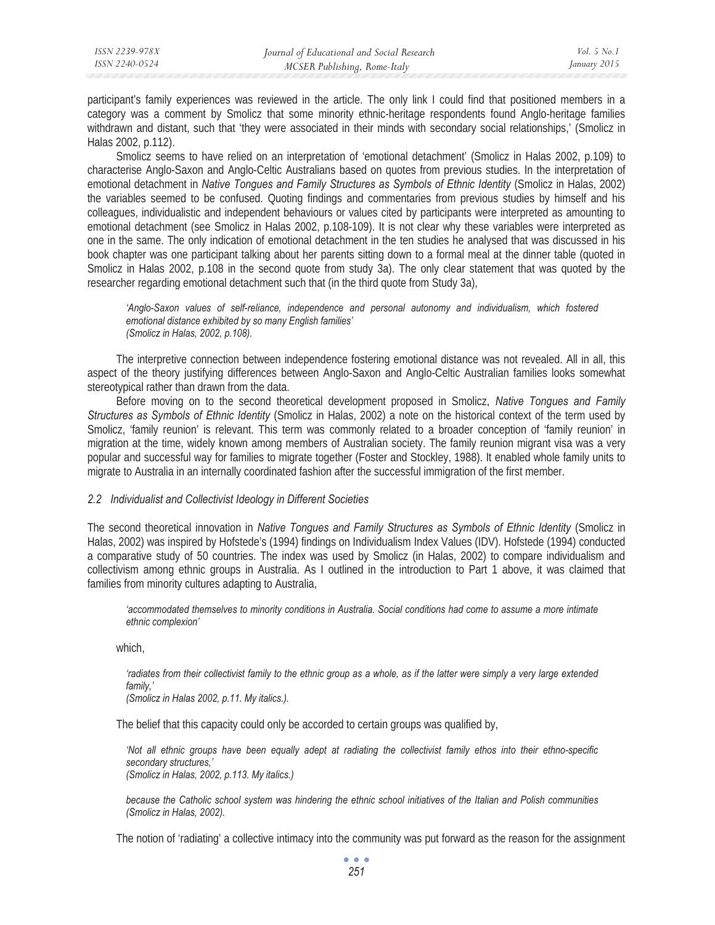participant's family experiences was reviewed in the article. The only link I could find that positioned members in a category was a comment by Smolicz that some minority ethnic-heritage respondents found Anglo-heritage families withdrawn and distant, such that 'they were associated in their minds with secondary social relationships,' (Smolicz in Halas 2002, p.112).

Smolicz seems to have relied on an interpretation of 'emotional detachment' (Smolicz in Halas 2002, p.109) to characterise Anglo-Saxon and Anglo-Celtic Australians based on quotes from previous studies. In the interpretation of emotional detachment in *Native Tongues and Family Structures as Symbols of Ethnic Identity* (Smolicz in Halas, 2002) the variables seemed to be confused. Quoting findings and commentaries from previous studies by himself and his colleagues, individualistic and independent behaviours or values cited by participants were interpreted as amounting to emotional detachment (see Smolicz in Halas 2002, p.108-109). It is not clear why these variables were interpreted as one in the same. The only indication of emotional detachment in the ten studies he analysed that was discussed in his book chapter was one participant talking about her parents sitting down to a formal meal at the dinner table (quoted in Smolicz in Halas 2002, p.108 in the second quote from study 3a). The only clear statement that was quoted by the researcher regarding emotional detachment such that (in the third quote from Study 3a),

*'Anglo-Saxon values of self-reliance, independence and personal autonomy and individualism, which fostered emotional distance exhibited by so many English families' (Smolicz in Halas, 2002, p.108).* 

The interpretive connection between independence fostering emotional distance was not revealed. All in all, this aspect of the theory justifying differences between Anglo-Saxon and Anglo-Celtic Australian families looks somewhat stereotypical rather than drawn from the data.

Before moving on to the second theoretical development proposed in Smolicz, *Native Tongues and Family Structures as Symbols of Ethnic Identity* (Smolicz in Halas, 2002) a note on the historical context of the term used by Smolicz, 'family reunion' is relevant. This term was commonly related to a broader conception of 'family reunion' in migration at the time, widely known among members of Australian society. The family reunion migrant visa was a very popular and successful way for families to migrate together (Foster and Stockley, 1988). It enabled whole family units to migrate to Australia in an internally coordinated fashion after the successful immigration of the first member.

#### *2.2 Individualist and Collectivist Ideology in Different Societies*

The second theoretical innovation in *Native Tongues and Family Structures as Symbols of Ethnic Identity* (Smolicz in Halas, 2002) was inspired by Hofstede's (1994) findings on Individualism Index Values (IDV). Hofstede (1994) conducted a comparative study of 50 countries. The index was used by Smolicz (in Halas, 2002) to compare individualism and collectivism among ethnic groups in Australia. As I outlined in the introduction to Part 1 above, it was claimed that families from minority cultures adapting to Australia,

'accommodated themselves to minority conditions in Australia. Social conditions had come to assume a more intimate *ethnic complexion'* 

which,

*'radiates from their collectivist family to the ethnic group as a whole, as if the latter were simply a very large extended family,'* 

*(Smolicz in Halas 2002, p.11. My italics.).* 

The belief that this capacity could only be accorded to certain groups was qualified by,

*'Not all ethnic groups have been equally adept at radiating the collectivist family ethos into their ethno-specific secondary structures,'* 

*(Smolicz in Halas, 2002, p.113. My italics.)* 

*because the Catholic school system was hindering the ethnic school initiatives of the Italian and Polish communities (Smolicz in Halas, 2002).* 

The notion of 'radiating' a collective intimacy into the community was put forward as the reason for the assignment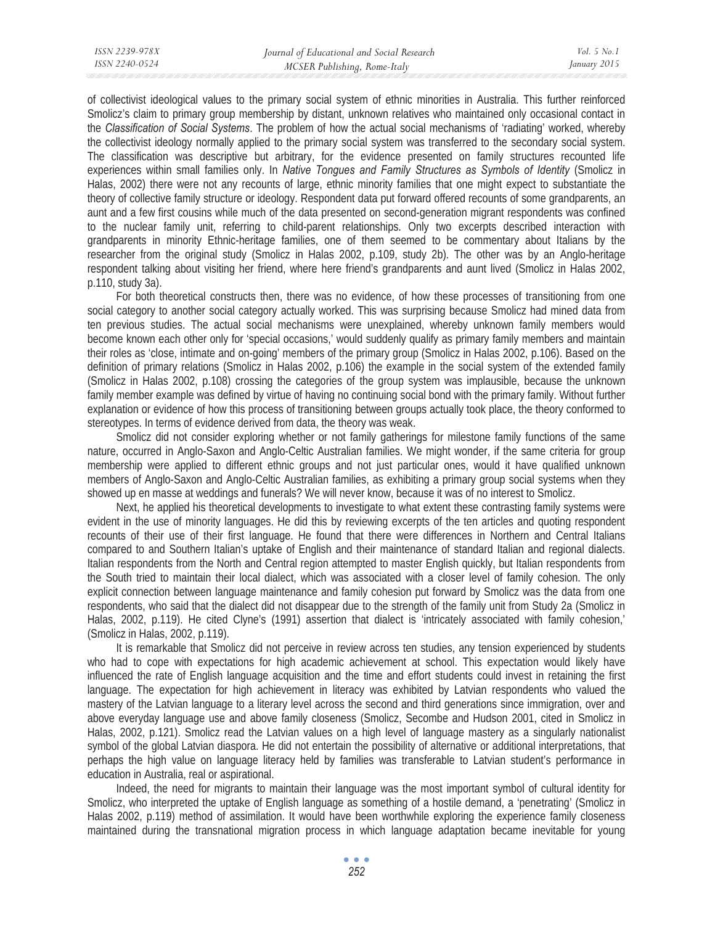of collectivist ideological values to the primary social system of ethnic minorities in Australia. This further reinforced Smolicz's claim to primary group membership by distant, unknown relatives who maintained only occasional contact in the *Classification of Social Systems*. The problem of how the actual social mechanisms of 'radiating' worked, whereby the collectivist ideology normally applied to the primary social system was transferred to the secondary social system. The classification was descriptive but arbitrary, for the evidence presented on family structures recounted life experiences within small families only. In *Native Tongues and Family Structures as Symbols of Identity* (Smolicz in Halas, 2002) there were not any recounts of large, ethnic minority families that one might expect to substantiate the theory of collective family structure or ideology. Respondent data put forward offered recounts of some grandparents, an aunt and a few first cousins while much of the data presented on second-generation migrant respondents was confined to the nuclear family unit, referring to child-parent relationships. Only two excerpts described interaction with grandparents in minority Ethnic-heritage families, one of them seemed to be commentary about Italians by the researcher from the original study (Smolicz in Halas 2002, p.109, study 2b). The other was by an Anglo-heritage respondent talking about visiting her friend, where here friend's grandparents and aunt lived (Smolicz in Halas 2002, p.110, study 3a).

For both theoretical constructs then, there was no evidence, of how these processes of transitioning from one social category to another social category actually worked. This was surprising because Smolicz had mined data from ten previous studies. The actual social mechanisms were unexplained, whereby unknown family members would become known each other only for 'special occasions,' would suddenly qualify as primary family members and maintain their roles as 'close, intimate and on-going' members of the primary group (Smolicz in Halas 2002, p.106). Based on the definition of primary relations (Smolicz in Halas 2002, p.106) the example in the social system of the extended family (Smolicz in Halas 2002, p.108) crossing the categories of the group system was implausible, because the unknown family member example was defined by virtue of having no continuing social bond with the primary family. Without further explanation or evidence of how this process of transitioning between groups actually took place, the theory conformed to stereotypes. In terms of evidence derived from data, the theory was weak.

Smolicz did not consider exploring whether or not family gatherings for milestone family functions of the same nature, occurred in Anglo-Saxon and Anglo-Celtic Australian families. We might wonder, if the same criteria for group membership were applied to different ethnic groups and not just particular ones, would it have qualified unknown members of Anglo-Saxon and Anglo-Celtic Australian families, as exhibiting a primary group social systems when they showed up en masse at weddings and funerals? We will never know, because it was of no interest to Smolicz.

Next, he applied his theoretical developments to investigate to what extent these contrasting family systems were evident in the use of minority languages. He did this by reviewing excerpts of the ten articles and quoting respondent recounts of their use of their first language. He found that there were differences in Northern and Central Italians compared to and Southern Italian's uptake of English and their maintenance of standard Italian and regional dialects. Italian respondents from the North and Central region attempted to master English quickly, but Italian respondents from the South tried to maintain their local dialect, which was associated with a closer level of family cohesion. The only explicit connection between language maintenance and family cohesion put forward by Smolicz was the data from one respondents, who said that the dialect did not disappear due to the strength of the family unit from Study 2a (Smolicz in Halas, 2002, p.119). He cited Clyne's (1991) assertion that dialect is 'intricately associated with family cohesion,' (Smolicz in Halas, 2002, p.119).

It is remarkable that Smolicz did not perceive in review across ten studies, any tension experienced by students who had to cope with expectations for high academic achievement at school. This expectation would likely have influenced the rate of English language acquisition and the time and effort students could invest in retaining the first language. The expectation for high achievement in literacy was exhibited by Latvian respondents who valued the mastery of the Latvian language to a literary level across the second and third generations since immigration, over and above everyday language use and above family closeness (Smolicz, Secombe and Hudson 2001, cited in Smolicz in Halas, 2002, p.121). Smolicz read the Latvian values on a high level of language mastery as a singularly nationalist symbol of the global Latvian diaspora. He did not entertain the possibility of alternative or additional interpretations, that perhaps the high value on language literacy held by families was transferable to Latvian student's performance in education in Australia, real or aspirational.

Indeed, the need for migrants to maintain their language was the most important symbol of cultural identity for Smolicz, who interpreted the uptake of English language as something of a hostile demand, a 'penetrating' (Smolicz in Halas 2002, p.119) method of assimilation. It would have been worthwhile exploring the experience family closeness maintained during the transnational migration process in which language adaptation became inevitable for young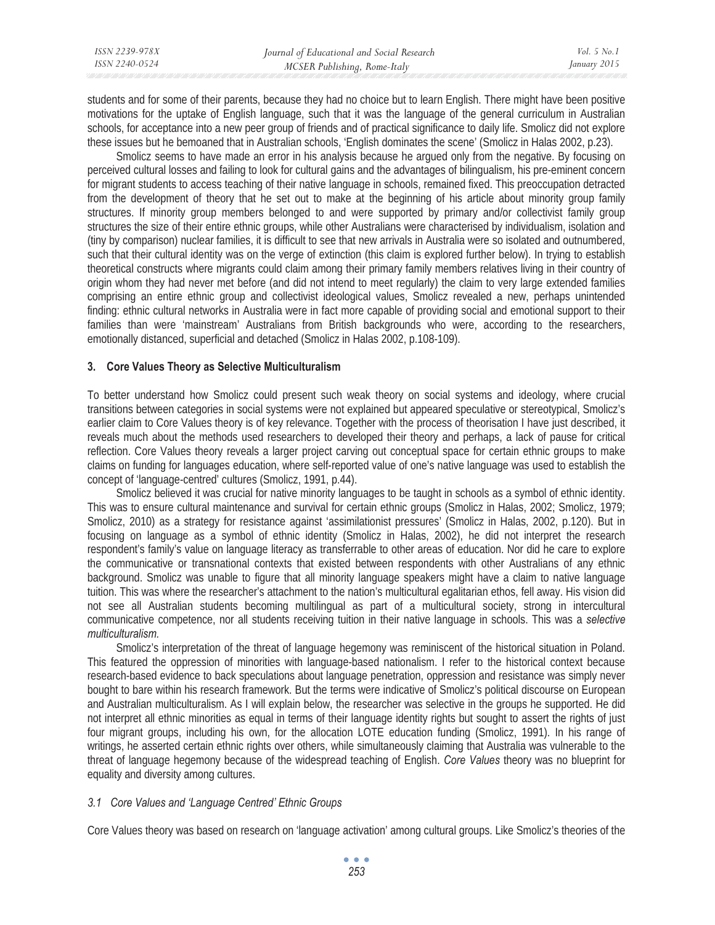| ISSN 2239-978X | Journal of Educational and Social Research | <i>Vol.</i> 5 $No.1$ |
|----------------|--------------------------------------------|----------------------|
| ISSN 2240-0524 | MCSER Publishing, Rome-Italy               | January 2015         |

students and for some of their parents, because they had no choice but to learn English. There might have been positive motivations for the uptake of English language, such that it was the language of the general curriculum in Australian schools, for acceptance into a new peer group of friends and of practical significance to daily life. Smolicz did not explore these issues but he bemoaned that in Australian schools, 'English dominates the scene' (Smolicz in Halas 2002, p.23).

Smolicz seems to have made an error in his analysis because he argued only from the negative. By focusing on perceived cultural losses and failing to look for cultural gains and the advantages of bilingualism, his pre-eminent concern for migrant students to access teaching of their native language in schools, remained fixed. This preoccupation detracted from the development of theory that he set out to make at the beginning of his article about minority group family structures. If minority group members belonged to and were supported by primary and/or collectivist family group structures the size of their entire ethnic groups, while other Australians were characterised by individualism, isolation and (tiny by comparison) nuclear families, it is difficult to see that new arrivals in Australia were so isolated and outnumbered, such that their cultural identity was on the verge of extinction (this claim is explored further below). In trying to establish theoretical constructs where migrants could claim among their primary family members relatives living in their country of origin whom they had never met before (and did not intend to meet regularly) the claim to very large extended families comprising an entire ethnic group and collectivist ideological values, Smolicz revealed a new, perhaps unintended finding: ethnic cultural networks in Australia were in fact more capable of providing social and emotional support to their families than were 'mainstream' Australians from British backgrounds who were, according to the researchers, emotionally distanced, superficial and detached (Smolicz in Halas 2002, p.108-109).

### **3. Core Values Theory as Selective Multiculturalism**

To better understand how Smolicz could present such weak theory on social systems and ideology, where crucial transitions between categories in social systems were not explained but appeared speculative or stereotypical, Smolicz's earlier claim to Core Values theory is of key relevance. Together with the process of theorisation I have just described, it reveals much about the methods used researchers to developed their theory and perhaps, a lack of pause for critical reflection. Core Values theory reveals a larger project carving out conceptual space for certain ethnic groups to make claims on funding for languages education, where self-reported value of one's native language was used to establish the concept of 'language-centred' cultures (Smolicz, 1991, p.44).

Smolicz believed it was crucial for native minority languages to be taught in schools as a symbol of ethnic identity. This was to ensure cultural maintenance and survival for certain ethnic groups (Smolicz in Halas, 2002; Smolicz, 1979; Smolicz, 2010) as a strategy for resistance against 'assimilationist pressures' (Smolicz in Halas, 2002, p.120). But in focusing on language as a symbol of ethnic identity (Smolicz in Halas, 2002), he did not interpret the research respondent's family's value on language literacy as transferrable to other areas of education. Nor did he care to explore the communicative or transnational contexts that existed between respondents with other Australians of any ethnic background. Smolicz was unable to figure that all minority language speakers might have a claim to native language tuition. This was where the researcher's attachment to the nation's multicultural egalitarian ethos, fell away. His vision did not see all Australian students becoming multilingual as part of a multicultural society, strong in intercultural communicative competence, nor all students receiving tuition in their native language in schools. This was a *selective multiculturalism.* 

Smolicz's interpretation of the threat of language hegemony was reminiscent of the historical situation in Poland. This featured the oppression of minorities with language-based nationalism. I refer to the historical context because research-based evidence to back speculations about language penetration, oppression and resistance was simply never bought to bare within his research framework. But the terms were indicative of Smolicz's political discourse on European and Australian multiculturalism. As I will explain below, the researcher was selective in the groups he supported. He did not interpret all ethnic minorities as equal in terms of their language identity rights but sought to assert the rights of just four migrant groups, including his own, for the allocation LOTE education funding (Smolicz, 1991). In his range of writings, he asserted certain ethnic rights over others, while simultaneously claiming that Australia was vulnerable to the threat of language hegemony because of the widespread teaching of English. *Core Values* theory was no blueprint for equality and diversity among cultures.

### *3.1 Core Values and 'Language Centred' Ethnic Groups*

Core Values theory was based on research on 'language activation' among cultural groups. Like Smolicz's theories of the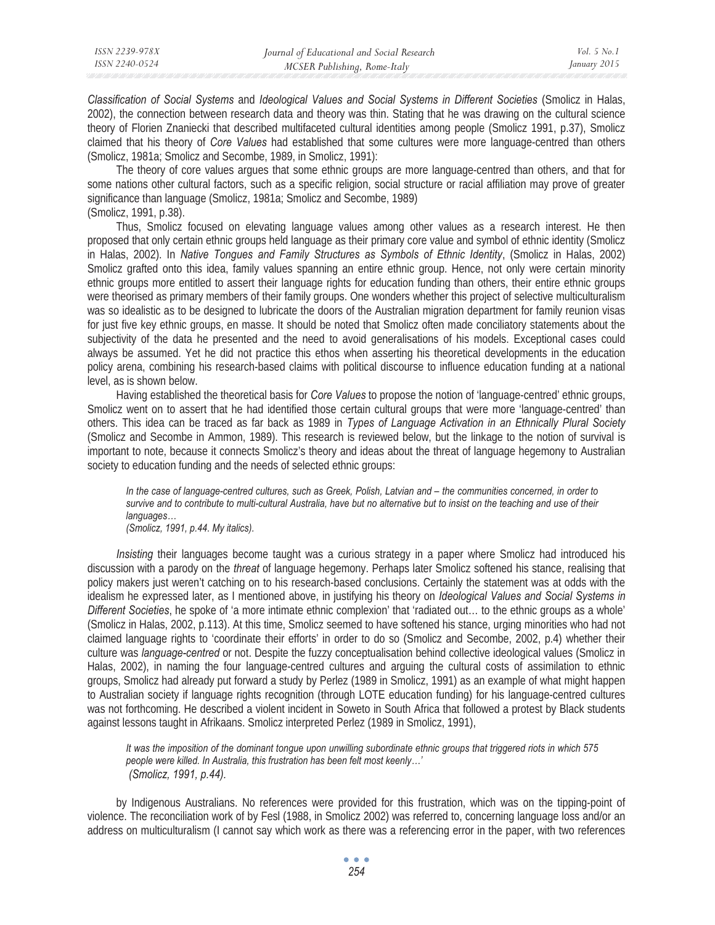| ISSN 2239-978X | Journal of Educational and Social Research | <i>Vol.</i> 5 No. 1 |
|----------------|--------------------------------------------|---------------------|
| ISSN 2240-0524 | MCSER Publishing, Rome-Italy               | January 2015        |

*Classification of Social Systems* and *Ideological Values and Social Systems in Different Societies* (Smolicz in Halas, 2002), the connection between research data and theory was thin. Stating that he was drawing on the cultural science theory of Florien Znaniecki that described multifaceted cultural identities among people (Smolicz 1991, p.37), Smolicz claimed that his theory of *Core Values* had established that some cultures were more language-centred than others (Smolicz, 1981a; Smolicz and Secombe, 1989, in Smolicz, 1991):

The theory of core values argues that some ethnic groups are more language-centred than others, and that for some nations other cultural factors, such as a specific religion, social structure or racial affiliation may prove of greater significance than language (Smolicz, 1981a; Smolicz and Secombe, 1989) (Smolicz, 1991, p.38).

Thus, Smolicz focused on elevating language values among other values as a research interest. He then proposed that only certain ethnic groups held language as their primary core value and symbol of ethnic identity (Smolicz in Halas, 2002). In *Native Tongues and Family Structures as Symbols of Ethnic Identity*, (Smolicz in Halas, 2002) Smolicz grafted onto this idea, family values spanning an entire ethnic group. Hence, not only were certain minority ethnic groups more entitled to assert their language rights for education funding than others, their entire ethnic groups were theorised as primary members of their family groups. One wonders whether this project of selective multiculturalism was so idealistic as to be designed to lubricate the doors of the Australian migration department for family reunion visas for just five key ethnic groups, en masse. It should be noted that Smolicz often made conciliatory statements about the subjectivity of the data he presented and the need to avoid generalisations of his models. Exceptional cases could always be assumed. Yet he did not practice this ethos when asserting his theoretical developments in the education policy arena, combining his research-based claims with political discourse to influence education funding at a national level, as is shown below.

Having established the theoretical basis for *Core Values* to propose the notion of 'language-centred' ethnic groups, Smolicz went on to assert that he had identified those certain cultural groups that were more 'language-centred' than others. This idea can be traced as far back as 1989 in *Types of Language Activation in an Ethnically Plural Society*  (Smolicz and Secombe in Ammon, 1989). This research is reviewed below, but the linkage to the notion of survival is important to note, because it connects Smolicz's theory and ideas about the threat of language hegemony to Australian society to education funding and the needs of selected ethnic groups:

*In the case of language-centred cultures, such as Greek, Polish, Latvian and – the communities concerned, in order to survive and to contribute to multi-cultural Australia, have but no alternative but to insist on the teaching and use of their languages… (Smolicz, 1991, p.44. My italics).* 

*Insisting* their languages become taught was a curious strategy in a paper where Smolicz had introduced his discussion with a parody on the *threat* of language hegemony. Perhaps later Smolicz softened his stance, realising that policy makers just weren't catching on to his research-based conclusions. Certainly the statement was at odds with the idealism he expressed later, as I mentioned above, in justifying his theory on *Ideological Values and Social Systems in Different Societies*, he spoke of 'a more intimate ethnic complexion' that 'radiated out… to the ethnic groups as a whole' (Smolicz in Halas, 2002, p.113). At this time, Smolicz seemed to have softened his stance, urging minorities who had not claimed language rights to 'coordinate their efforts' in order to do so (Smolicz and Secombe, 2002, p.4) whether their culture was *language-centred* or not. Despite the fuzzy conceptualisation behind collective ideological values (Smolicz in Halas, 2002), in naming the four language-centred cultures and arguing the cultural costs of assimilation to ethnic groups, Smolicz had already put forward a study by Perlez (1989 in Smolicz, 1991) as an example of what might happen to Australian society if language rights recognition (through LOTE education funding) for his language-centred cultures was not forthcoming. He described a violent incident in Soweto in South Africa that followed a protest by Black students against lessons taught in Afrikaans. Smolicz interpreted Perlez (1989 in Smolicz, 1991),

*It was the imposition of the dominant tongue upon unwilling subordinate ethnic groups that triggered riots in which 575 people were killed. In Australia, this frustration has been felt most keenly…' (Smolicz, 1991, p.44).* 

by Indigenous Australians. No references were provided for this frustration, which was on the tipping-point of violence. The reconciliation work of by Fesl (1988, in Smolicz 2002) was referred to, concerning language loss and/or an address on multiculturalism (I cannot say which work as there was a referencing error in the paper, with two references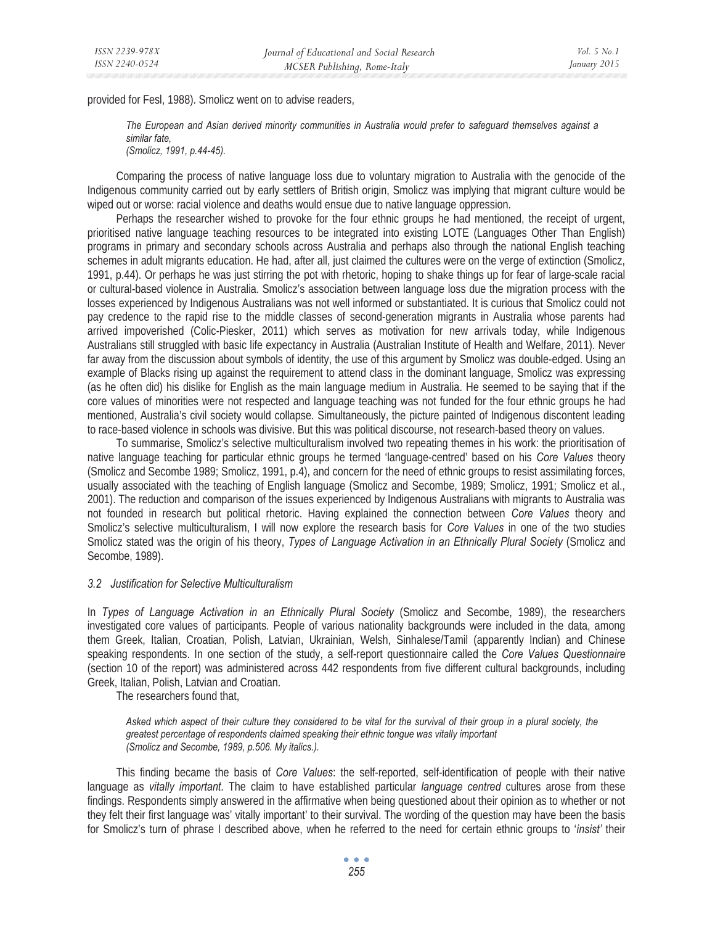provided for Fesl, 1988). Smolicz went on to advise readers,

*The European and Asian derived minority communities in Australia would prefer to safeguard themselves against a similar fate, (Smolicz, 1991, p.44-45).* 

Comparing the process of native language loss due to voluntary migration to Australia with the genocide of the Indigenous community carried out by early settlers of British origin, Smolicz was implying that migrant culture would be wiped out or worse: racial violence and deaths would ensue due to native language oppression.

Perhaps the researcher wished to provoke for the four ethnic groups he had mentioned, the receipt of urgent, prioritised native language teaching resources to be integrated into existing LOTE (Languages Other Than English) programs in primary and secondary schools across Australia and perhaps also through the national English teaching schemes in adult migrants education. He had, after all, just claimed the cultures were on the verge of extinction (Smolicz, 1991, p.44). Or perhaps he was just stirring the pot with rhetoric, hoping to shake things up for fear of large-scale racial or cultural-based violence in Australia. Smolicz's association between language loss due the migration process with the losses experienced by Indigenous Australians was not well informed or substantiated. It is curious that Smolicz could not pay credence to the rapid rise to the middle classes of second-generation migrants in Australia whose parents had arrived impoverished (Colic-Piesker, 2011) which serves as motivation for new arrivals today, while Indigenous Australians still struggled with basic life expectancy in Australia (Australian Institute of Health and Welfare, 2011). Never far away from the discussion about symbols of identity, the use of this argument by Smolicz was double-edged. Using an example of Blacks rising up against the requirement to attend class in the dominant language, Smolicz was expressing (as he often did) his dislike for English as the main language medium in Australia. He seemed to be saying that if the core values of minorities were not respected and language teaching was not funded for the four ethnic groups he had mentioned, Australia's civil society would collapse. Simultaneously, the picture painted of Indigenous discontent leading to race-based violence in schools was divisive. But this was political discourse, not research-based theory on values.

To summarise, Smolicz's selective multiculturalism involved two repeating themes in his work: the prioritisation of native language teaching for particular ethnic groups he termed 'language-centred' based on his *Core Values* theory (Smolicz and Secombe 1989; Smolicz, 1991, p.4), and concern for the need of ethnic groups to resist assimilating forces, usually associated with the teaching of English language (Smolicz and Secombe, 1989; Smolicz, 1991; Smolicz et al., 2001). The reduction and comparison of the issues experienced by Indigenous Australians with migrants to Australia was not founded in research but political rhetoric. Having explained the connection between *Core Values* theory and Smolicz's selective multiculturalism, I will now explore the research basis for *Core Values* in one of the two studies Smolicz stated was the origin of his theory, *Types of Language Activation in an Ethnically Plural Society* (Smolicz and Secombe, 1989).

## *3.2 Justification for Selective Multiculturalism*

In *Types of Language Activation in an Ethnically Plural Society* (Smolicz and Secombe, 1989), the researchers investigated core values of participants. People of various nationality backgrounds were included in the data, among them Greek, Italian, Croatian, Polish, Latvian, Ukrainian, Welsh, Sinhalese/Tamil (apparently Indian) and Chinese speaking respondents. In one section of the study, a self-report questionnaire called the *Core Values Questionnaire* (section 10 of the report) was administered across 442 respondents from five different cultural backgrounds, including Greek, Italian, Polish, Latvian and Croatian.

The researchers found that,

*Asked which aspect of their culture they considered to be vital for the survival of their group in a plural society, the greatest percentage of respondents claimed speaking their ethnic tongue was vitally important (Smolicz and Secombe, 1989, p.506. My italics.).* 

This finding became the basis of *Core Values*: the self-reported, self-identification of people with their native language as *vitally important*. The claim to have established particular *language centred* cultures arose from these findings. Respondents simply answered in the affirmative when being questioned about their opinion as to whether or not they felt their first language was' vitally important' to their survival. The wording of the question may have been the basis for Smolicz's turn of phrase I described above, when he referred to the need for certain ethnic groups to '*insist'* their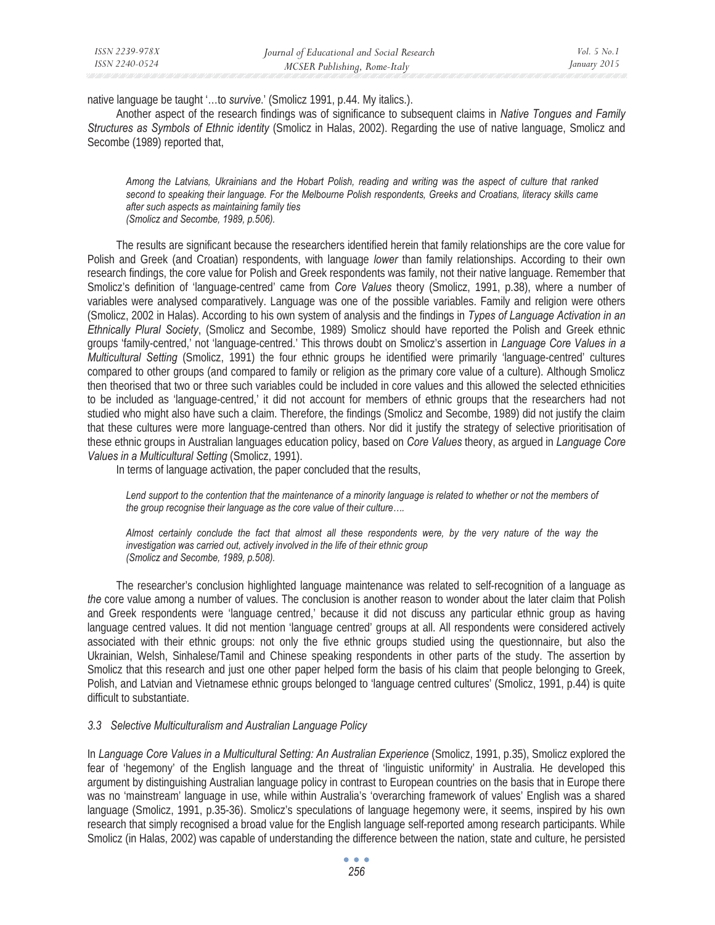native language be taught '…to *survive*.' (Smolicz 1991, p.44. My italics.).

Another aspect of the research findings was of significance to subsequent claims in *Native Tongues and Family Structures as Symbols of Ethnic identity* (Smolicz in Halas, 2002). Regarding the use of native language, Smolicz and Secombe (1989) reported that,

*Among the Latvians, Ukrainians and the Hobart Polish, reading and writing was the aspect of culture that ranked second to speaking their language. For the Melbourne Polish respondents, Greeks and Croatians, literacy skills came after such aspects as maintaining family ties (Smolicz and Secombe, 1989, p.506).* 

The results are significant because the researchers identified herein that family relationships are the core value for Polish and Greek (and Croatian) respondents, with language *lower* than family relationships. According to their own research findings, the core value for Polish and Greek respondents was family, not their native language. Remember that Smolicz's definition of 'language-centred' came from *Core Values* theory (Smolicz, 1991, p.38), where a number of variables were analysed comparatively. Language was one of the possible variables. Family and religion were others (Smolicz, 2002 in Halas). According to his own system of analysis and the findings in *Types of Language Activation in an Ethnically Plural Society*, (Smolicz and Secombe, 1989) Smolicz should have reported the Polish and Greek ethnic groups 'family-centred,' not 'language-centred.' This throws doubt on Smolicz's assertion in *Language Core Values in a Multicultural Setting* (Smolicz, 1991) the four ethnic groups he identified were primarily 'language-centred' cultures compared to other groups (and compared to family or religion as the primary core value of a culture). Although Smolicz then theorised that two or three such variables could be included in core values and this allowed the selected ethnicities to be included as 'language-centred,' it did not account for members of ethnic groups that the researchers had not studied who might also have such a claim. Therefore, the findings (Smolicz and Secombe, 1989) did not justify the claim that these cultures were more language-centred than others. Nor did it justify the strategy of selective prioritisation of these ethnic groups in Australian languages education policy, based on *Core Values* theory, as argued in *Language Core Values in a Multicultural Setting* (Smolicz, 1991).

In terms of language activation, the paper concluded that the results,

Lend support to the contention that the maintenance of a minority language is related to whether or not the members of *the group recognise their language as the core value of their culture….* 

*Almost certainly conclude the fact that almost all these respondents were, by the very nature of the way the investigation was carried out, actively involved in the life of their ethnic group (Smolicz and Secombe, 1989, p.508).* 

The researcher's conclusion highlighted language maintenance was related to self-recognition of a language as *the* core value among a number of values. The conclusion is another reason to wonder about the later claim that Polish and Greek respondents were 'language centred,' because it did not discuss any particular ethnic group as having language centred values. It did not mention 'language centred' groups at all. All respondents were considered actively associated with their ethnic groups: not only the five ethnic groups studied using the questionnaire, but also the Ukrainian, Welsh, Sinhalese/Tamil and Chinese speaking respondents in other parts of the study. The assertion by Smolicz that this research and just one other paper helped form the basis of his claim that people belonging to Greek, Polish, and Latvian and Vietnamese ethnic groups belonged to 'language centred cultures' (Smolicz, 1991, p.44) is quite difficult to substantiate.

# *3.3 Selective Multiculturalism and Australian Language Policy*

In *Language Core Values in a Multicultural Setting: An Australian Experience* (Smolicz, 1991, p.35), Smolicz explored the fear of 'hegemony' of the English language and the threat of 'linguistic uniformity' in Australia. He developed this argument by distinguishing Australian language policy in contrast to European countries on the basis that in Europe there was no 'mainstream' language in use, while within Australia's 'overarching framework of values' English was a shared language (Smolicz, 1991, p.35-36). Smolicz's speculations of language hegemony were, it seems, inspired by his own research that simply recognised a broad value for the English language self-reported among research participants. While Smolicz (in Halas, 2002) was capable of understanding the difference between the nation, state and culture, he persisted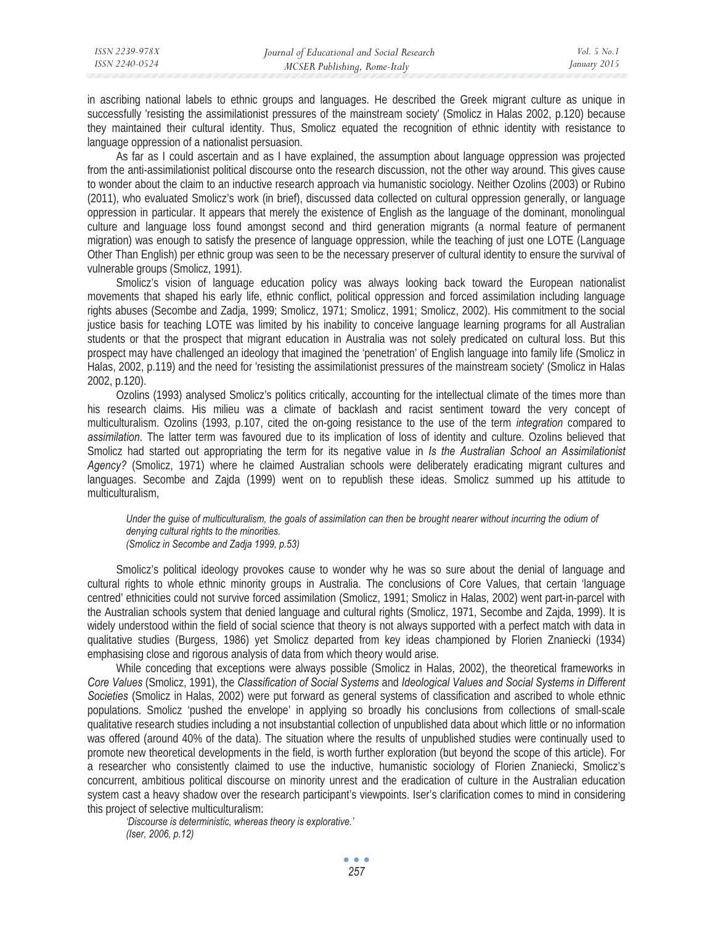| ISSN 2239-978X | Journal of Educational and Social Research | Vol. 5 No. 1 |
|----------------|--------------------------------------------|--------------|
| ISSN 2240-0524 | MCSER Publishing, Rome-Italy               | January 2015 |

in ascribing national labels to ethnic groups and languages. He described the Greek migrant culture as unique in successfully 'resisting the assimilationist pressures of the mainstream society' (Smolicz in Halas 2002, p.120) because they maintained their cultural identity. Thus, Smolicz equated the recognition of ethnic identity with resistance to language oppression of a nationalist persuasion.

As far as I could ascertain and as I have explained, the assumption about language oppression was projected from the anti-assimilationist political discourse onto the research discussion, not the other way around. This gives cause to wonder about the claim to an inductive research approach via humanistic sociology. Neither Ozolins (2003) or Rubino (2011), who evaluated Smolicz's work (in brief), discussed data collected on cultural oppression generally, or language oppression in particular. It appears that merely the existence of English as the language of the dominant, monolingual culture and language loss found amongst second and third generation migrants (a normal feature of permanent migration) was enough to satisfy the presence of language oppression, while the teaching of just one LOTE (Language Other Than English) per ethnic group was seen to be the necessary preserver of cultural identity to ensure the survival of vulnerable groups (Smolicz, 1991).

Smolicz's vision of language education policy was always looking back toward the European nationalist movements that shaped his early life, ethnic conflict, political oppression and forced assimilation including language rights abuses (Secombe and Zadja, 1999; Smolicz, 1971; Smolicz, 1991; Smolicz, 2002). His commitment to the social justice basis for teaching LOTE was limited by his inability to conceive language learning programs for all Australian students or that the prospect that migrant education in Australia was not solely predicated on cultural loss. But this prospect may have challenged an ideology that imagined the 'penetration' of English language into family life (Smolicz in Halas, 2002, p.119) and the need for 'resisting the assimilationist pressures of the mainstream society' (Smolicz in Halas 2002, p.120).

Ozolins (1993) analysed Smolicz's politics critically, accounting for the intellectual climate of the times more than his research claims. His milieu was a climate of backlash and racist sentiment toward the very concept of multiculturalism. Ozolins (1993, p.107, cited the on-going resistance to the use of the term *integration* compared to *assimilation*. The latter term was favoured due to its implication of loss of identity and culture. Ozolins believed that Smolicz had started out appropriating the term for its negative value in *Is the Australian School an Assimilationist Agency?* (Smolicz, 1971) where he claimed Australian schools were deliberately eradicating migrant cultures and languages. Secombe and Zajda (1999) went on to republish these ideas. Smolicz summed up his attitude to multiculturalism,

Under the guise of multiculturalism, the goals of assimilation can then be brought nearer without incurring the odium of *denying cultural rights to the minorities. (Smolicz in Secombe and Zadja 1999, p.53)* 

Smolicz's political ideology provokes cause to wonder why he was so sure about the denial of language and cultural rights to whole ethnic minority groups in Australia. The conclusions of Core Values, that certain 'language centred' ethnicities could not survive forced assimilation (Smolicz, 1991; Smolicz in Halas, 2002) went part-in-parcel with the Australian schools system that denied language and cultural rights (Smolicz, 1971, Secombe and Zajda, 1999). It is widely understood within the field of social science that theory is not always supported with a perfect match with data in qualitative studies (Burgess, 1986) yet Smolicz departed from key ideas championed by Florien Znaniecki (1934) emphasising close and rigorous analysis of data from which theory would arise.

While conceding that exceptions were always possible (Smolicz in Halas, 2002), the theoretical frameworks in *Core Values* (Smolicz, 1991), the *Classification of Social Systems* and *Ideological Values and Social Systems in Different Societies* (Smolicz in Halas, 2002) were put forward as general systems of classification and ascribed to whole ethnic populations. Smolicz 'pushed the envelope' in applying so broadly his conclusions from collections of small-scale qualitative research studies including a not insubstantial collection of unpublished data about which little or no information was offered (around 40% of the data). The situation where the results of unpublished studies were continually used to promote new theoretical developments in the field, is worth further exploration (but beyond the scope of this article). For a researcher who consistently claimed to use the inductive, humanistic sociology of Florien Znaniecki, Smolicz's concurrent, ambitious political discourse on minority unrest and the eradication of culture in the Australian education system cast a heavy shadow over the research participant's viewpoints. Iser's clarification comes to mind in considering this project of selective multiculturalism:

*'Discourse is deterministic, whereas theory is explorative.' (Iser, 2006, p.12)*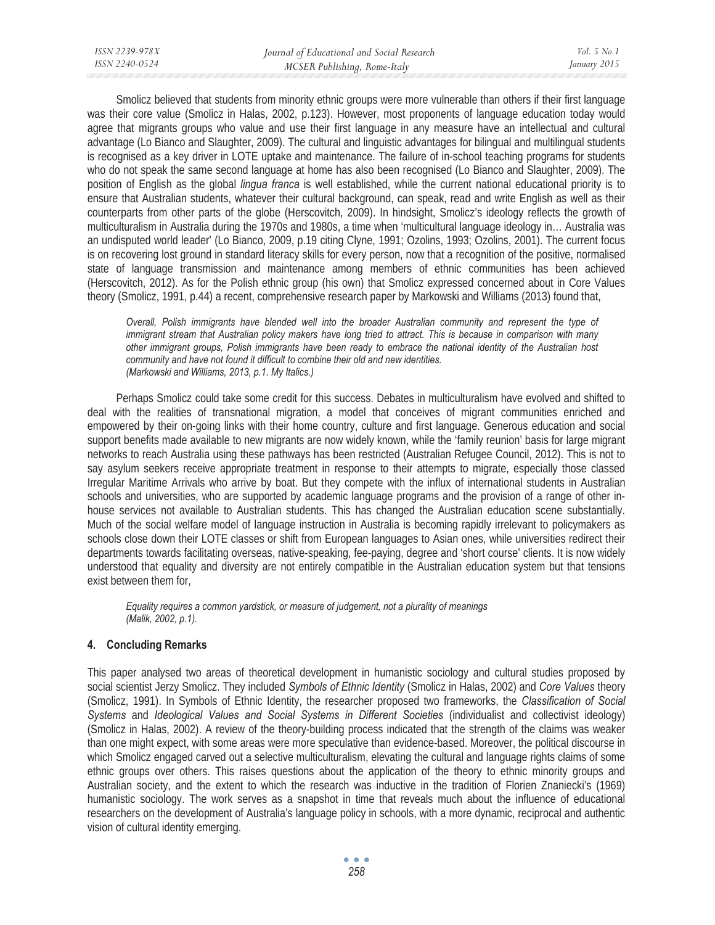| ISSN 2239-978X | Journal of Educational and Social Research | <i>Vol.</i> 5 No. 1 |
|----------------|--------------------------------------------|---------------------|
| ISSN 2240-0524 | MCSER Publishing, Rome-Italy               | January 2015        |
|                |                                            |                     |

Smolicz believed that students from minority ethnic groups were more vulnerable than others if their first language was their core value (Smolicz in Halas, 2002, p.123). However, most proponents of language education today would agree that migrants groups who value and use their first language in any measure have an intellectual and cultural advantage (Lo Bianco and Slaughter, 2009). The cultural and linguistic advantages for bilingual and multilingual students is recognised as a key driver in LOTE uptake and maintenance. The failure of in-school teaching programs for students who do not speak the same second language at home has also been recognised (Lo Bianco and Slaughter, 2009). The position of English as the global *lingua franca* is well established, while the current national educational priority is to ensure that Australian students, whatever their cultural background, can speak, read and write English as well as their counterparts from other parts of the globe (Herscovitch, 2009). In hindsight, Smolicz's ideology reflects the growth of multiculturalism in Australia during the 1970s and 1980s, a time when 'multicultural language ideology in… Australia was an undisputed world leader' (Lo Bianco, 2009, p.19 citing Clyne, 1991; Ozolins, 1993; Ozolins, 2001). The current focus is on recovering lost ground in standard literacy skills for every person, now that a recognition of the positive, normalised state of language transmission and maintenance among members of ethnic communities has been achieved (Herscovitch, 2012). As for the Polish ethnic group (his own) that Smolicz expressed concerned about in Core Values theory (Smolicz, 1991, p.44) a recent, comprehensive research paper by Markowski and Williams (2013) found that,

*Overall, Polish immigrants have blended well into the broader Australian community and represent the type of immigrant stream that Australian policy makers have long tried to attract. This is because in comparison with many other immigrant groups, Polish immigrants have been ready to embrace the national identity of the Australian host community and have not found it difficult to combine their old and new identities. (Markowski and Williams, 2013, p.1. My Italics.)* 

Perhaps Smolicz could take some credit for this success. Debates in multiculturalism have evolved and shifted to deal with the realities of transnational migration, a model that conceives of migrant communities enriched and empowered by their on-going links with their home country, culture and first language. Generous education and social support benefits made available to new migrants are now widely known, while the 'family reunion' basis for large migrant networks to reach Australia using these pathways has been restricted (Australian Refugee Council, 2012). This is not to say asylum seekers receive appropriate treatment in response to their attempts to migrate, especially those classed Irregular Maritime Arrivals who arrive by boat. But they compete with the influx of international students in Australian schools and universities, who are supported by academic language programs and the provision of a range of other inhouse services not available to Australian students. This has changed the Australian education scene substantially. Much of the social welfare model of language instruction in Australia is becoming rapidly irrelevant to policymakers as schools close down their LOTE classes or shift from European languages to Asian ones, while universities redirect their departments towards facilitating overseas, native-speaking, fee-paying, degree and 'short course' clients. It is now widely understood that equality and diversity are not entirely compatible in the Australian education system but that tensions exist between them for,

*Equality requires a common yardstick, or measure of judgement, not a plurality of meanings (Malik, 2002, p.1).* 

### **4. Concluding Remarks**

This paper analysed two areas of theoretical development in humanistic sociology and cultural studies proposed by social scientist Jerzy Smolicz. They included *Symbols of Ethnic Identity* (Smolicz in Halas, 2002) and *Core Values* theory (Smolicz, 1991). In Symbols of Ethnic Identity, the researcher proposed two frameworks, the *Classification of Social Systems* and *Ideological Values and Social Systems in Different Societies* (individualist and collectivist ideology) (Smolicz in Halas, 2002). A review of the theory-building process indicated that the strength of the claims was weaker than one might expect, with some areas were more speculative than evidence-based. Moreover, the political discourse in which Smolicz engaged carved out a selective multiculturalism, elevating the cultural and language rights claims of some ethnic groups over others. This raises questions about the application of the theory to ethnic minority groups and Australian society, and the extent to which the research was inductive in the tradition of Florien Znaniecki's (1969) humanistic sociology. The work serves as a snapshot in time that reveals much about the influence of educational researchers on the development of Australia's language policy in schools, with a more dynamic, reciprocal and authentic vision of cultural identity emerging.